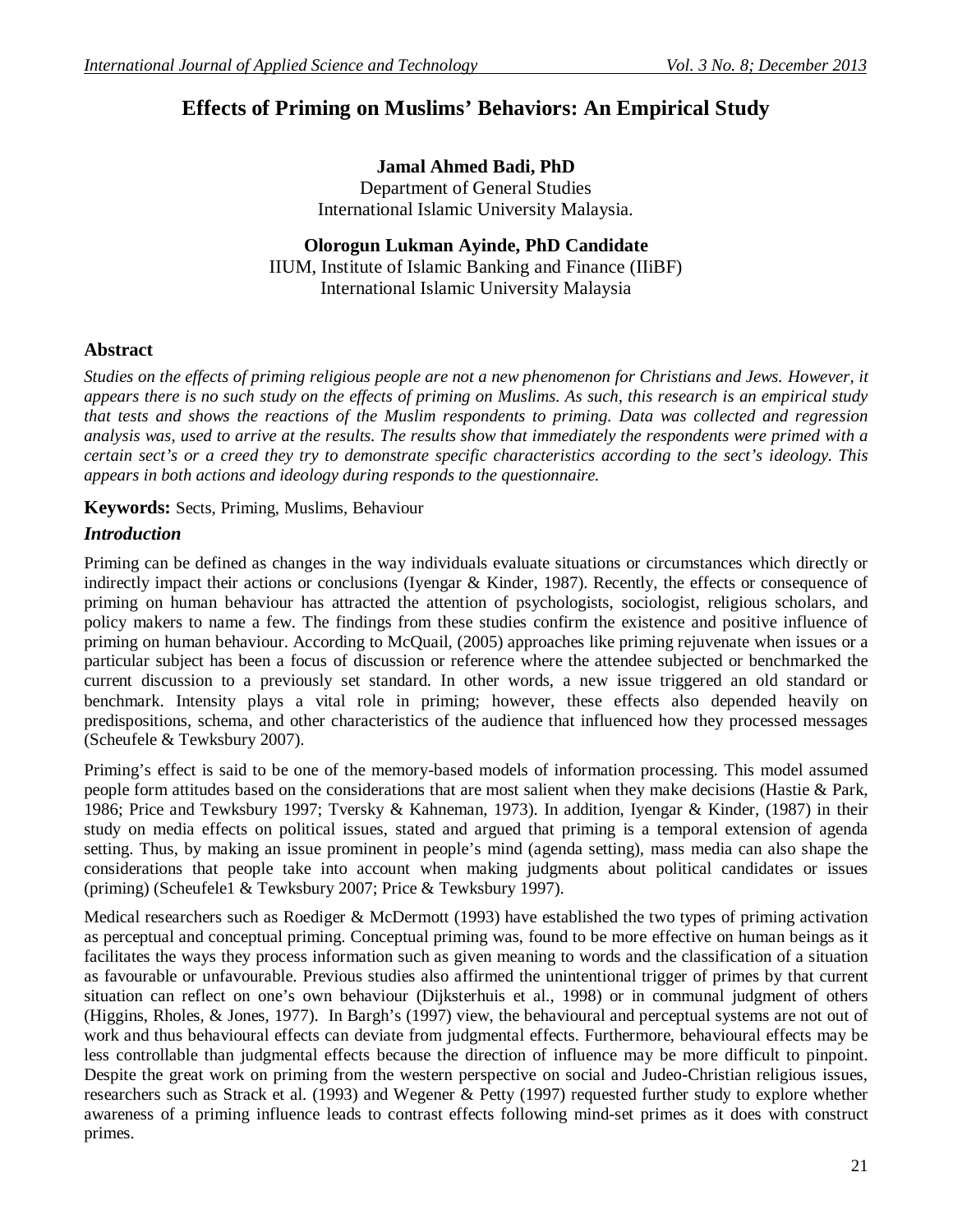# **Effects of Priming on Muslims' Behaviors: An Empirical Study**

**Jamal Ahmed Badi, PhD** Department of General Studies International Islamic University Malaysia.

# **Olorogun Lukman Ayinde, PhD Candidate**

IIUM, Institute of Islamic Banking and Finance (IIiBF) International Islamic University Malaysia

# **Abstract**

*Studies on the effects of priming religious people are not a new phenomenon for Christians and Jews. However, it appears there is no such study on the effects of priming on Muslims. As such, this research is an empirical study that tests and shows the reactions of the Muslim respondents to priming. Data was collected and regression analysis was, used to arrive at the results. The results show that immediately the respondents were primed with a certain sect's or a creed they try to demonstrate specific characteristics according to the sect's ideology. This appears in both actions and ideology during responds to the questionnaire.* 

**Keywords:** Sects, Priming, Muslims, Behaviour

# *Introduction*

Priming can be defined as changes in the way individuals evaluate situations or circumstances which directly or indirectly impact their actions or conclusions (Iyengar & Kinder, 1987). Recently, the effects or consequence of priming on human behaviour has attracted the attention of psychologists, sociologist, religious scholars, and policy makers to name a few. The findings from these studies confirm the existence and positive influence of priming on human behaviour. According to McQuail, (2005) approaches like priming rejuvenate when issues or a particular subject has been a focus of discussion or reference where the attendee subjected or benchmarked the current discussion to a previously set standard. In other words, a new issue triggered an old standard or benchmark. Intensity plays a vital role in priming; however, these effects also depended heavily on predispositions, schema, and other characteristics of the audience that influenced how they processed messages (Scheufele & Tewksbury 2007).

Priming's effect is said to be one of the memory-based models of information processing. This model assumed people form attitudes based on the considerations that are most salient when they make decisions (Hastie & Park, 1986; Price and Tewksbury 1997; Tversky & Kahneman, 1973). In addition, Iyengar & Kinder, (1987) in their study on media effects on political issues, stated and argued that priming is a temporal extension of agenda setting. Thus, by making an issue prominent in people's mind (agenda setting), mass media can also shape the considerations that people take into account when making judgments about political candidates or issues (priming) (Scheufele1 & Tewksbury 2007; Price & Tewksbury 1997).

Medical researchers such as Roediger & McDermott (1993) have established the two types of priming activation as perceptual and conceptual priming. Conceptual priming was, found to be more effective on human beings as it facilitates the ways they process information such as given meaning to words and the classification of a situation as favourable or unfavourable. Previous studies also affirmed the unintentional trigger of primes by that current situation can reflect on one's own behaviour (Dijksterhuis et al., 1998) or in communal judgment of others (Higgins, Rholes, & Jones, 1977). In Bargh's (1997) view, the behavioural and perceptual systems are not out of work and thus behavioural effects can deviate from judgmental effects. Furthermore, behavioural effects may be less controllable than judgmental effects because the direction of influence may be more difficult to pinpoint. Despite the great work on priming from the western perspective on social and Judeo-Christian religious issues, researchers such as Strack et al. (1993) and Wegener & Petty (1997) requested further study to explore whether awareness of a priming influence leads to contrast effects following mind-set primes as it does with construct primes.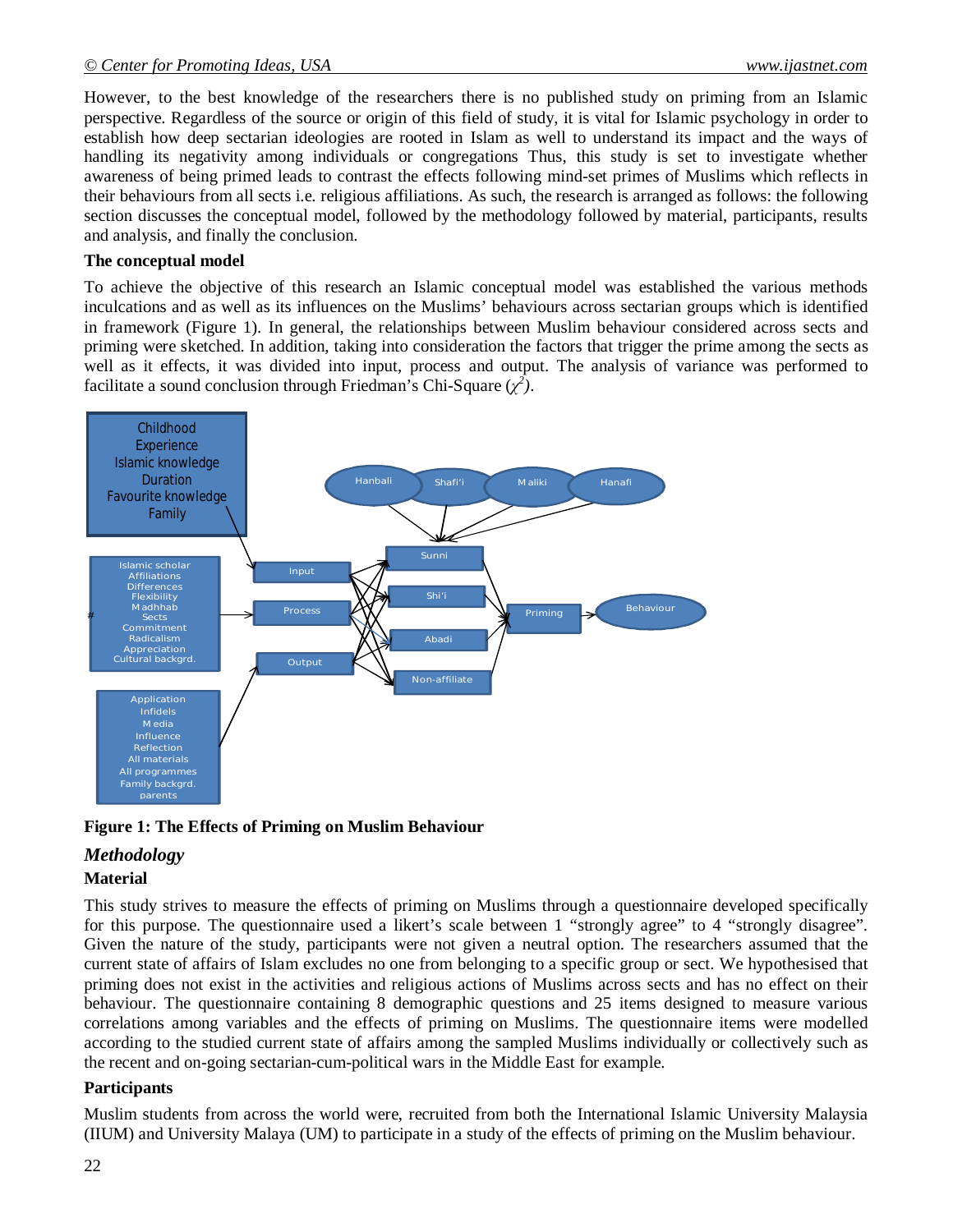#### *© Center for Promoting Ideas, USA www.ijastnet.com*

However, to the best knowledge of the researchers there is no published study on priming from an Islamic perspective. Regardless of the source or origin of this field of study, it is vital for Islamic psychology in order to establish how deep sectarian ideologies are rooted in Islam as well to understand its impact and the ways of handling its negativity among individuals or congregations Thus, this study is set to investigate whether awareness of being primed leads to contrast the effects following mind-set primes of Muslims which reflects in their behaviours from all sects i.e. religious affiliations. As such, the research is arranged as follows: the following section discusses the conceptual model, followed by the methodology followed by material, participants, results and analysis, and finally the conclusion.

#### **The conceptual model**

To achieve the objective of this research an Islamic conceptual model was established the various methods inculcations and as well as its influences on the Muslims' behaviours across sectarian groups which is identified in framework (Figure 1). In general, the relationships between Muslim behaviour considered across sects and priming were sketched. In addition, taking into consideration the factors that trigger the prime among the sects as well as it effects, it was divided into input, process and output. The analysis of variance was performed to facilitate a sound conclusion through Friedman's Chi-Square  $(\chi^2)$ .



#### **Figure 1: The Effects of Priming on Muslim Behaviour**

### *Methodology*

#### **Material**

This study strives to measure the effects of priming on Muslims through a questionnaire developed specifically for this purpose. The questionnaire used a likert's scale between 1 "strongly agree" to 4 "strongly disagree". Given the nature of the study, participants were not given a neutral option. The researchers assumed that the current state of affairs of Islam excludes no one from belonging to a specific group or sect. We hypothesised that priming does not exist in the activities and religious actions of Muslims across sects and has no effect on their behaviour. The questionnaire containing 8 demographic questions and 25 items designed to measure various correlations among variables and the effects of priming on Muslims. The questionnaire items were modelled according to the studied current state of affairs among the sampled Muslims individually or collectively such as the recent and on-going sectarian-cum-political wars in the Middle East for example.

#### **Participants**

Muslim students from across the world were, recruited from both the International Islamic University Malaysia (IIUM) and University Malaya (UM) to participate in a study of the effects of priming on the Muslim behaviour.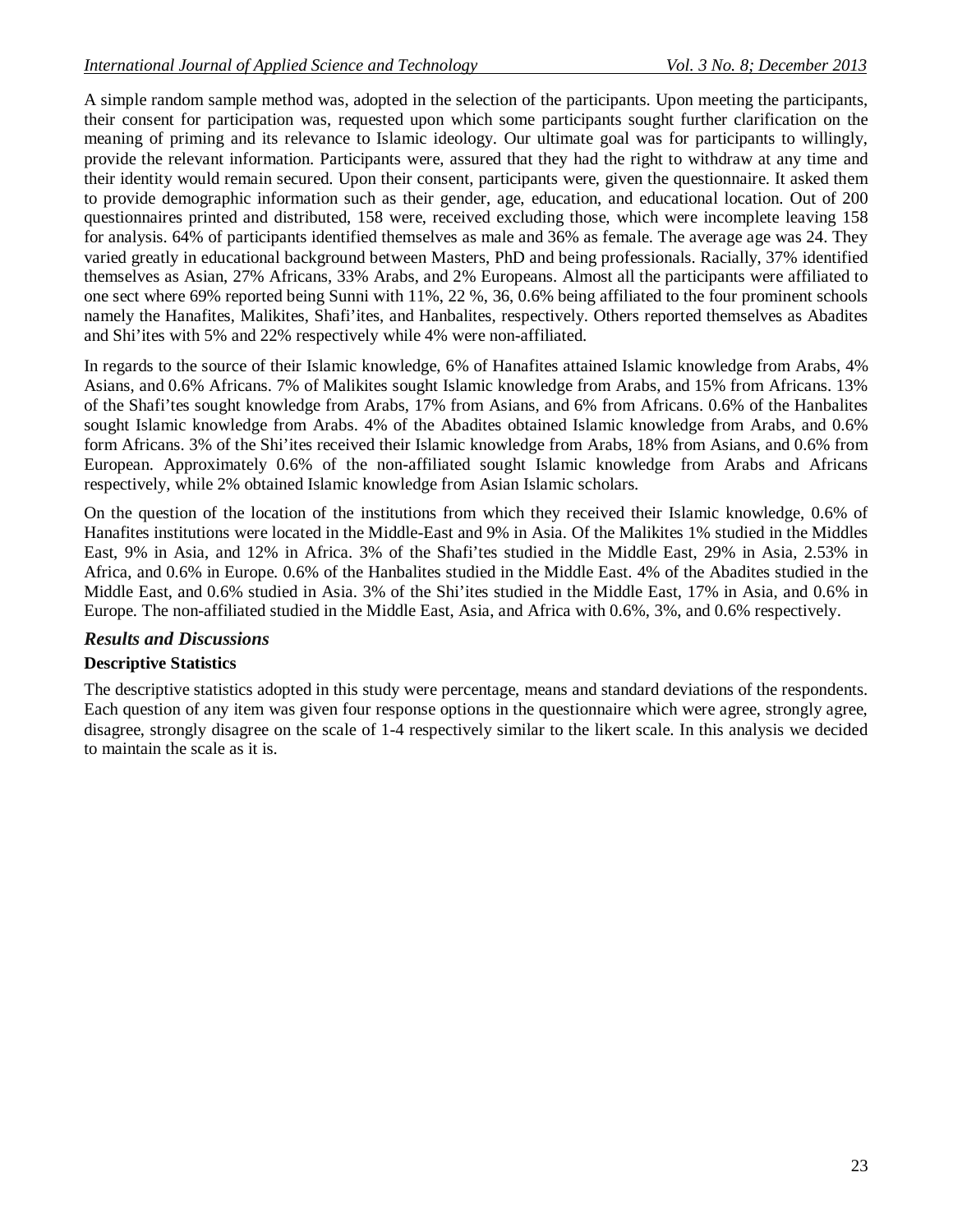A simple random sample method was, adopted in the selection of the participants. Upon meeting the participants, their consent for participation was, requested upon which some participants sought further clarification on the meaning of priming and its relevance to Islamic ideology. Our ultimate goal was for participants to willingly, provide the relevant information. Participants were, assured that they had the right to withdraw at any time and their identity would remain secured. Upon their consent, participants were, given the questionnaire. It asked them to provide demographic information such as their gender, age, education, and educational location. Out of 200 questionnaires printed and distributed, 158 were, received excluding those, which were incomplete leaving 158 for analysis. 64% of participants identified themselves as male and 36% as female. The average age was 24. They varied greatly in educational background between Masters, PhD and being professionals. Racially, 37% identified themselves as Asian, 27% Africans, 33% Arabs, and 2% Europeans. Almost all the participants were affiliated to one sect where 69% reported being Sunni with 11%, 22 %, 36, 0.6% being affiliated to the four prominent schools namely the Hanafites, Malikites, Shafi'ites, and Hanbalites, respectively. Others reported themselves as Abadites and Shi'ites with 5% and 22% respectively while 4% were non-affiliated.

In regards to the source of their Islamic knowledge, 6% of Hanafites attained Islamic knowledge from Arabs, 4% Asians, and 0.6% Africans. 7% of Malikites sought Islamic knowledge from Arabs, and 15% from Africans. 13% of the Shafi'tes sought knowledge from Arabs, 17% from Asians, and 6% from Africans. 0.6% of the Hanbalites sought Islamic knowledge from Arabs. 4% of the Abadites obtained Islamic knowledge from Arabs, and 0.6% form Africans. 3% of the Shi'ites received their Islamic knowledge from Arabs, 18% from Asians, and 0.6% from European. Approximately 0.6% of the non-affiliated sought Islamic knowledge from Arabs and Africans respectively, while 2% obtained Islamic knowledge from Asian Islamic scholars.

On the question of the location of the institutions from which they received their Islamic knowledge, 0.6% of Hanafites institutions were located in the Middle-East and 9% in Asia. Of the Malikites 1% studied in the Middles East, 9% in Asia, and 12% in Africa. 3% of the Shafi'tes studied in the Middle East, 29% in Asia, 2.53% in Africa, and 0.6% in Europe. 0.6% of the Hanbalites studied in the Middle East. 4% of the Abadites studied in the Middle East, and 0.6% studied in Asia. 3% of the Shi'ites studied in the Middle East, 17% in Asia, and 0.6% in Europe. The non-affiliated studied in the Middle East, Asia, and Africa with 0.6%, 3%, and 0.6% respectively.

# *Results and Discussions*

### **Descriptive Statistics**

The descriptive statistics adopted in this study were percentage, means and standard deviations of the respondents. Each question of any item was given four response options in the questionnaire which were agree, strongly agree, disagree, strongly disagree on the scale of 1-4 respectively similar to the likert scale. In this analysis we decided to maintain the scale as it is.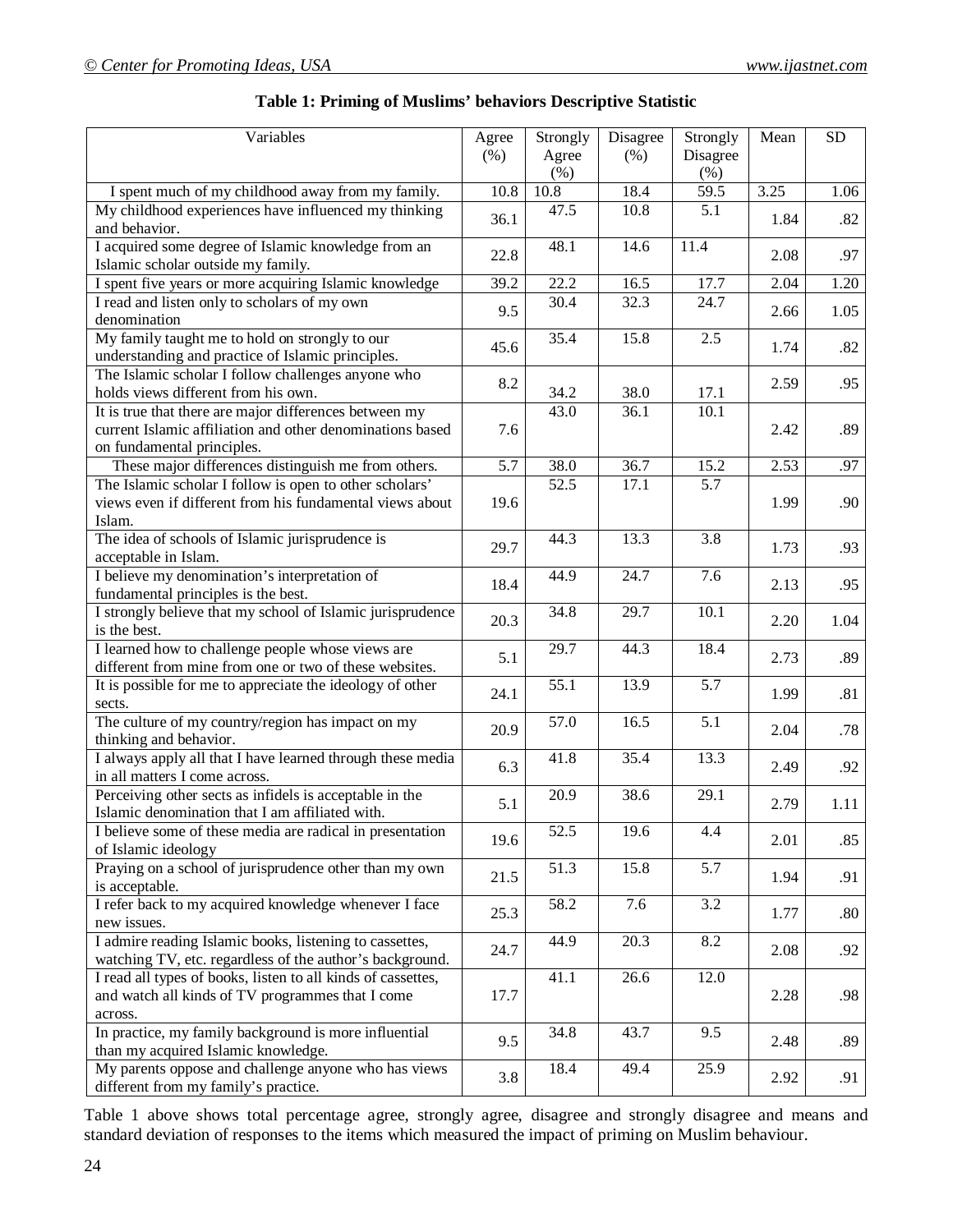| Variables                                                                     | Agree | Strongly          | Disagree          | Strongly         | Mean | <b>SD</b> |
|-------------------------------------------------------------------------------|-------|-------------------|-------------------|------------------|------|-----------|
|                                                                               | (% )  | Agree             | (% )              | Disagree         |      |           |
|                                                                               |       | $(\%)$            |                   | (% )             |      |           |
| I spent much of my childhood away from my family.                             | 10.8  | $\overline{10.8}$ | 18.4              | 59.5             | 3.25 | 1.06      |
| My childhood experiences have influenced my thinking                          |       | 47.5              | 10.8              | 5.1              |      |           |
| and behavior.                                                                 | 36.1  |                   |                   |                  | 1.84 | .82       |
| I acquired some degree of Islamic knowledge from an                           |       | 48.1              | 14.6              | 11.4             |      |           |
| Islamic scholar outside my family.                                            | 22.8  |                   |                   |                  | 2.08 | .97       |
| I spent five years or more acquiring Islamic knowledge                        | 39.2  | 22.2              | 16.5              | 17.7             | 2.04 | 1.20      |
| I read and listen only to scholars of my own                                  |       | 30.4              | 32.3              | 24.7             |      |           |
| denomination                                                                  | 9.5   |                   |                   |                  | 2.66 | 1.05      |
| My family taught me to hold on strongly to our                                |       | 35.4              | 15.8              | 2.5              |      |           |
| understanding and practice of Islamic principles.                             | 45.6  |                   |                   |                  | 1.74 | .82       |
| The Islamic scholar I follow challenges anyone who                            |       |                   |                   |                  |      |           |
| holds views different from his own.                                           | 8.2   | 34.2              | 38.0              | 17.1             | 2.59 | .95       |
| It is true that there are major differences between my                        |       | 43.0              | 36.1              | 10.1             |      |           |
| current Islamic affiliation and other denominations based                     | 7.6   |                   |                   |                  | 2.42 | .89       |
| on fundamental principles.                                                    |       |                   |                   |                  |      |           |
| These major differences distinguish me from others.                           | 5.7   | 38.0              | 36.7              | 15.2             | 2.53 | .97       |
| The Islamic scholar I follow is open to other scholars'                       |       | 52.5              | 17.1              | 5.7              |      |           |
| views even if different from his fundamental views about                      | 19.6  |                   |                   |                  | 1.99 | .90       |
| Islam.                                                                        |       |                   |                   |                  |      |           |
| The idea of schools of Islamic jurisprudence is                               | 29.7  | 44.3              | 13.3              | $\overline{3.8}$ | 1.73 | .93       |
| acceptable in Islam.                                                          |       |                   |                   |                  |      |           |
| I believe my denomination's interpretation of                                 | 18.4  | 44.9              | $\overline{24.7}$ | 7.6              | 2.13 | .95       |
| fundamental principles is the best.                                           |       |                   |                   |                  |      |           |
| I strongly believe that my school of Islamic jurisprudence                    | 20.3  | 34.8              | 29.7              | 10.1             | 2.20 | 1.04      |
| is the best.                                                                  |       |                   |                   |                  |      |           |
| I learned how to challenge people whose views are                             | 5.1   | 29.7              | 44.3              | 18.4             | 2.73 | .89       |
| different from mine from one or two of these websites.                        |       |                   |                   |                  |      |           |
| It is possible for me to appreciate the ideology of other                     | 24.1  | 55.1              | 13.9              | $\overline{5.7}$ | 1.99 | .81       |
| sects.                                                                        |       |                   |                   |                  |      |           |
| The culture of my country/region has impact on my                             |       | 57.0              | 16.5              | $\overline{5.1}$ | 2.04 | .78       |
| thinking and behavior.                                                        | 20.9  |                   |                   |                  |      |           |
| I always apply all that I have learned through these media                    | 6.3   | 41.8              | 35.4              | 13.3             | 2.49 | .92       |
| in all matters I come across.                                                 |       |                   |                   |                  |      |           |
| Perceiving other sects as infidels is acceptable in the                       | 5.1   | 20.9              | 38.6              | 29.1             | 2.79 | 1.11      |
| Islamic denomination that I am affiliated with.                               |       |                   |                   |                  |      |           |
| I believe some of these media are radical in presentation                     | 19.6  | 52.5              | 19.6              | 4.4              | 2.01 | .85       |
| of Islamic ideology<br>Praying on a school of jurisprudence other than my own |       |                   |                   |                  |      |           |
| is acceptable.                                                                | 21.5  | 51.3              | 15.8              | 5.7              | 1.94 | .91       |
| I refer back to my acquired knowledge whenever I face                         |       | 58.2              |                   | 3.2              |      |           |
| new issues.                                                                   | 25.3  |                   | 7.6               |                  | 1.77 | .80       |
| I admire reading Islamic books, listening to cassettes,                       |       | 44.9              | 20.3              | 8.2              |      |           |
| watching TV, etc. regardless of the author's background.                      | 24.7  |                   |                   |                  | 2.08 | .92       |
| I read all types of books, listen to all kinds of cassettes,                  |       | 41.1              | 26.6              | 12.0             |      |           |
| and watch all kinds of TV programmes that I come                              | 17.7  |                   |                   |                  | 2.28 | .98       |
| across.                                                                       |       |                   |                   |                  |      |           |
| In practice, my family background is more influential                         |       | 34.8              | 43.7              | 9.5              |      |           |
| than my acquired Islamic knowledge.                                           | 9.5   |                   |                   |                  | 2.48 | .89       |
| My parents oppose and challenge anyone who has views                          | 3.8   | 18.4              | 49.4              | 25.9             |      |           |
| different from my family's practice.                                          |       |                   |                   |                  | 2.92 | .91       |

## **Table 1: Priming of Muslims' behaviors Descriptive Statistic**

Table 1 above shows total percentage agree, strongly agree, disagree and strongly disagree and means and standard deviation of responses to the items which measured the impact of priming on Muslim behaviour.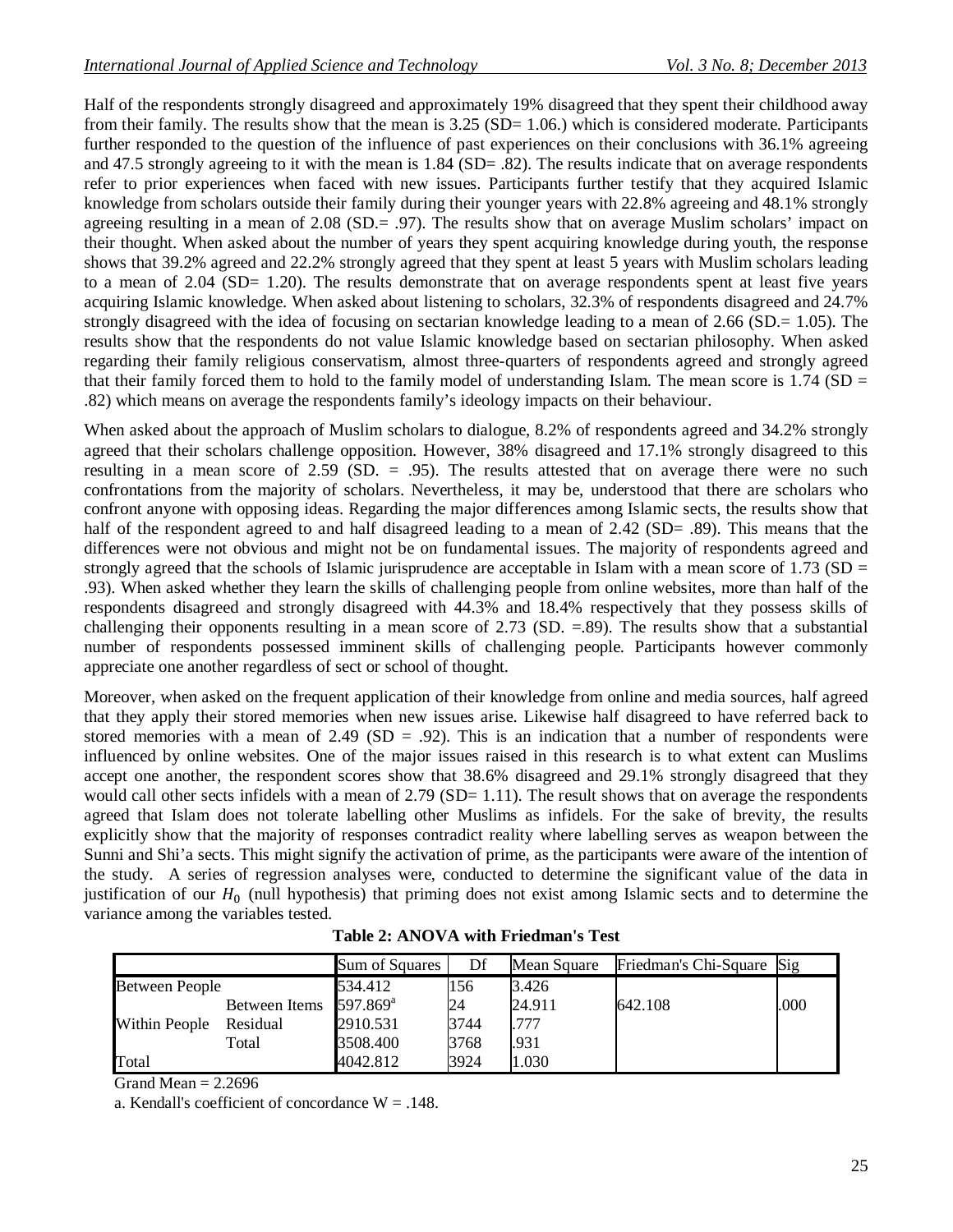Half of the respondents strongly disagreed and approximately 19% disagreed that they spent their childhood away from their family. The results show that the mean is 3.25 (SD= 1.06.) which is considered moderate. Participants further responded to the question of the influence of past experiences on their conclusions with 36.1% agreeing and 47.5 strongly agreeing to it with the mean is 1.84 (SD= .82). The results indicate that on average respondents refer to prior experiences when faced with new issues. Participants further testify that they acquired Islamic knowledge from scholars outside their family during their younger years with 22.8% agreeing and 48.1% strongly agreeing resulting in a mean of 2.08 (SD.= .97). The results show that on average Muslim scholars' impact on their thought. When asked about the number of years they spent acquiring knowledge during youth, the response shows that 39.2% agreed and 22.2% strongly agreed that they spent at least 5 years with Muslim scholars leading to a mean of 2.04 (SD= 1.20). The results demonstrate that on average respondents spent at least five years acquiring Islamic knowledge. When asked about listening to scholars, 32.3% of respondents disagreed and 24.7% strongly disagreed with the idea of focusing on sectarian knowledge leading to a mean of 2.66 (SD.= 1.05). The results show that the respondents do not value Islamic knowledge based on sectarian philosophy. When asked regarding their family religious conservatism, almost three-quarters of respondents agreed and strongly agreed that their family forced them to hold to the family model of understanding Islam. The mean score is  $1.74$  (SD = .82) which means on average the respondents family's ideology impacts on their behaviour.

When asked about the approach of Muslim scholars to dialogue, 8.2% of respondents agreed and 34.2% strongly agreed that their scholars challenge opposition. However, 38% disagreed and 17.1% strongly disagreed to this resulting in a mean score of 2.59 (SD. = .95). The results attested that on average there were no such confrontations from the majority of scholars. Nevertheless, it may be, understood that there are scholars who confront anyone with opposing ideas. Regarding the major differences among Islamic sects, the results show that half of the respondent agreed to and half disagreed leading to a mean of 2.42 (SD= .89). This means that the differences were not obvious and might not be on fundamental issues. The majority of respondents agreed and strongly agreed that the schools of Islamic jurisprudence are acceptable in Islam with a mean score of 1.73 ( $SD =$ .93). When asked whether they learn the skills of challenging people from online websites, more than half of the respondents disagreed and strongly disagreed with 44.3% and 18.4% respectively that they possess skills of challenging their opponents resulting in a mean score of 2.73 (SD.  $=89$ ). The results show that a substantial number of respondents possessed imminent skills of challenging people. Participants however commonly appreciate one another regardless of sect or school of thought.

Moreover, when asked on the frequent application of their knowledge from online and media sources, half agreed that they apply their stored memories when new issues arise. Likewise half disagreed to have referred back to stored memories with a mean of  $2.49$  (SD = .92). This is an indication that a number of respondents were influenced by online websites. One of the major issues raised in this research is to what extent can Muslims accept one another, the respondent scores show that 38.6% disagreed and 29.1% strongly disagreed that they would call other sects infidels with a mean of  $2.79$  (SD= 1.11). The result shows that on average the respondents agreed that Islam does not tolerate labelling other Muslims as infidels. For the sake of brevity, the results explicitly show that the majority of responses contradict reality where labelling serves as weapon between the Sunni and Shi'a sects. This might signify the activation of prime, as the participants were aware of the intention of the study. A series of regression analyses were, conducted to determine the significant value of the data in justification of our  $H_0$  (null hypothesis) that priming does not exist among Islamic sects and to determine the variance among the variables tested.

|                       |               | Sum of Squares       | Df   | Mean Square | Friedman's Chi-Square Sig |      |
|-----------------------|---------------|----------------------|------|-------------|---------------------------|------|
| <b>Between People</b> |               | 534.412              | 156  | 3.426       |                           |      |
|                       | Between Items | 597.869 <sup>a</sup> | 24   | 24.911      | 642.108                   | .000 |
| Within People         | Residual      | 2910.531             | 3744 | .777        |                           |      |
|                       | Total         | 3508.400             | 3768 | .931        |                           |      |
| Total                 |               | 4042.812             | 3924 | 1.030       |                           |      |

| <b>Table 2: ANOVA with Friedman's Test</b> |  |  |
|--------------------------------------------|--|--|
|--------------------------------------------|--|--|

Grand Mean  $= 2.2696$ 

a. Kendall's coefficient of concordance  $W = .148$ .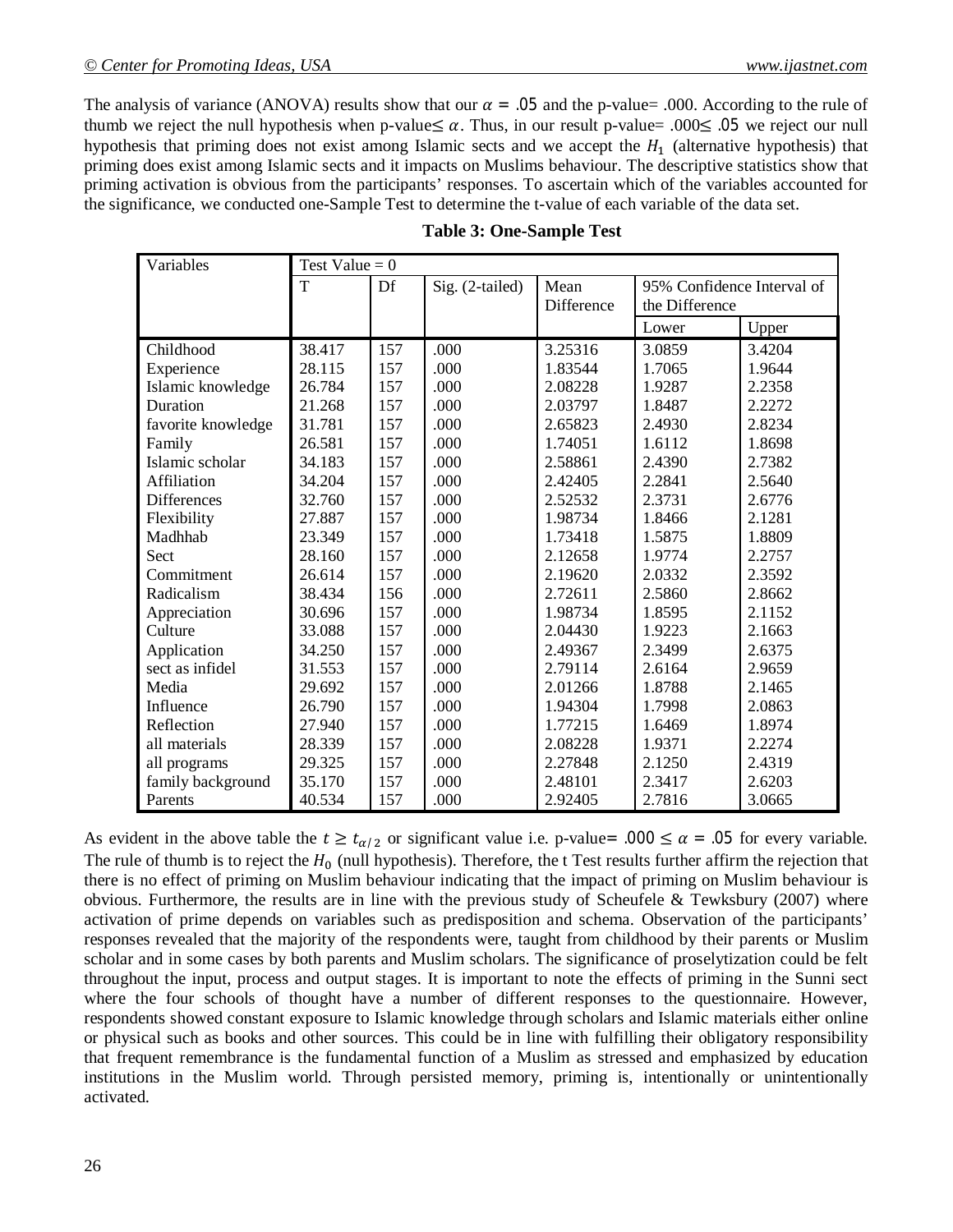The analysis of variance (ANOVA) results show that our  $\alpha = .05$  and the p-value= .000. According to the rule of thumb we reject the null hypothesis when p-value≤  $\alpha$ . Thus, in our result p-value= .000≤ .05 we reject our null hypothesis that priming does not exist among Islamic sects and we accept the  $H_1$  (alternative hypothesis) that priming does exist among Islamic sects and it impacts on Muslims behaviour. The descriptive statistics show that priming activation is obvious from the participants' responses. To ascertain which of the variables accounted for the significance, we conducted one-Sample Test to determine the t-value of each variable of the data set.

| Variables          | Test Value = $0$ |     |                 |            |                            |        |
|--------------------|------------------|-----|-----------------|------------|----------------------------|--------|
|                    | T                | Df  | Sig. (2-tailed) | Mean       | 95% Confidence Interval of |        |
|                    |                  |     |                 | Difference | the Difference             |        |
|                    |                  |     |                 |            | Lower                      | Upper  |
| Childhood          | 38.417           | 157 | .000            | 3.25316    | 3.0859                     | 3.4204 |
| Experience         | 28.115           | 157 | .000            | 1.83544    | 1.7065                     | 1.9644 |
| Islamic knowledge  | 26.784           | 157 | .000            | 2.08228    | 1.9287                     | 2.2358 |
| Duration           | 21.268           | 157 | .000            | 2.03797    | 1.8487                     | 2.2272 |
| favorite knowledge | 31.781           | 157 | .000            | 2.65823    | 2.4930                     | 2.8234 |
| Family             | 26.581           | 157 | .000            | 1.74051    | 1.6112                     | 1.8698 |
| Islamic scholar    | 34.183           | 157 | .000            | 2.58861    | 2.4390                     | 2.7382 |
| Affiliation        | 34.204           | 157 | .000            | 2.42405    | 2.2841                     | 2.5640 |
| <b>Differences</b> | 32.760           | 157 | .000            | 2.52532    | 2.3731                     | 2.6776 |
| Flexibility        | 27.887           | 157 | .000            | 1.98734    | 1.8466                     | 2.1281 |
| Madhhab            | 23.349           | 157 | .000            | 1.73418    | 1.5875                     | 1.8809 |
| Sect               | 28.160           | 157 | .000            | 2.12658    | 1.9774                     | 2.2757 |
| Commitment         | 26.614           | 157 | .000            | 2.19620    | 2.0332                     | 2.3592 |
| Radicalism         | 38.434           | 156 | .000            | 2.72611    | 2.5860                     | 2.8662 |
| Appreciation       | 30.696           | 157 | .000            | 1.98734    | 1.8595                     | 2.1152 |
| Culture            | 33.088           | 157 | .000            | 2.04430    | 1.9223                     | 2.1663 |
| Application        | 34.250           | 157 | .000            | 2.49367    | 2.3499                     | 2.6375 |
| sect as infidel    | 31.553           | 157 | .000            | 2.79114    | 2.6164                     | 2.9659 |
| Media              | 29.692           | 157 | .000            | 2.01266    | 1.8788                     | 2.1465 |
| Influence          | 26.790           | 157 | .000            | 1.94304    | 1.7998                     | 2.0863 |
| Reflection         | 27.940           | 157 | .000            | 1.77215    | 1.6469                     | 1.8974 |
| all materials      | 28.339           | 157 | .000            | 2.08228    | 1.9371                     | 2.2274 |
| all programs       | 29.325           | 157 | .000            | 2.27848    | 2.1250                     | 2.4319 |
| family background  | 35.170           | 157 | .000            | 2.48101    | 2.3417                     | 2.6203 |
| Parents            | 40.534           | 157 | .000            | 2.92405    | 2.7816                     | 3.0665 |

As evident in the above table the  $t \ge t_{\alpha/2}$  or significant value i.e. p-value= .000  $\le \alpha$  = .05 for every variable. The rule of thumb is to reject the  $H_0$  (null hypothesis). Therefore, the t Test results further affirm the rejection that there is no effect of priming on Muslim behaviour indicating that the impact of priming on Muslim behaviour is obvious. Furthermore, the results are in line with the previous study of Scheufele & Tewksbury (2007) where activation of prime depends on variables such as predisposition and schema. Observation of the participants' responses revealed that the majority of the respondents were, taught from childhood by their parents or Muslim scholar and in some cases by both parents and Muslim scholars. The significance of proselytization could be felt throughout the input, process and output stages. It is important to note the effects of priming in the Sunni sect where the four schools of thought have a number of different responses to the questionnaire. However, respondents showed constant exposure to Islamic knowledge through scholars and Islamic materials either online or physical such as books and other sources. This could be in line with fulfilling their obligatory responsibility that frequent remembrance is the fundamental function of a Muslim as stressed and emphasized by education institutions in the Muslim world. Through persisted memory, priming is, intentionally or unintentionally activated.